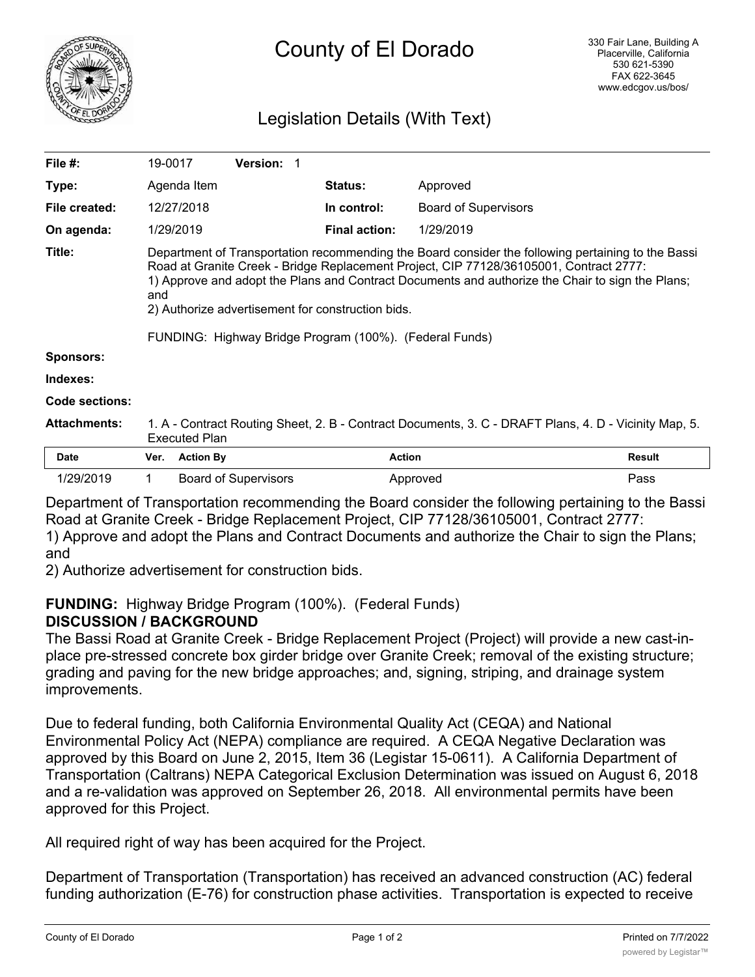

# County of El Dorado

# Legislation Details (With Text)

| Code sections:<br><b>Attachments:</b> | <b>Executed Plan</b>                                                                                                                                                                                                                                   |                 |                      | 1. A - Contract Routing Sheet, 2. B - Contract Documents, 3. C - DRAFT Plans, 4. D - Vicinity Map, 5. |  |
|---------------------------------------|--------------------------------------------------------------------------------------------------------------------------------------------------------------------------------------------------------------------------------------------------------|-----------------|----------------------|-------------------------------------------------------------------------------------------------------|--|
|                                       |                                                                                                                                                                                                                                                        |                 |                      |                                                                                                       |  |
|                                       |                                                                                                                                                                                                                                                        |                 |                      |                                                                                                       |  |
| Indexes:                              |                                                                                                                                                                                                                                                        |                 |                      |                                                                                                       |  |
| <b>Sponsors:</b>                      |                                                                                                                                                                                                                                                        |                 |                      |                                                                                                       |  |
|                                       | FUNDING: Highway Bridge Program (100%). (Federal Funds)                                                                                                                                                                                                |                 |                      |                                                                                                       |  |
|                                       | Road at Granite Creek - Bridge Replacement Project, CIP 77128/36105001, Contract 2777:<br>1) Approve and adopt the Plans and Contract Documents and authorize the Chair to sign the Plans;<br>and<br>2) Authorize advertisement for construction bids. |                 |                      |                                                                                                       |  |
| Title:                                |                                                                                                                                                                                                                                                        |                 |                      | Department of Transportation recommending the Board consider the following pertaining to the Bassi    |  |
| On agenda:                            | 1/29/2019                                                                                                                                                                                                                                              |                 | <b>Final action:</b> | 1/29/2019                                                                                             |  |
| File created:                         | 12/27/2018                                                                                                                                                                                                                                             |                 | In control:          | <b>Board of Supervisors</b>                                                                           |  |
| Type:                                 | Agenda Item                                                                                                                                                                                                                                            |                 | <b>Status:</b>       | Approved                                                                                              |  |
| File #:                               | 19-0017                                                                                                                                                                                                                                                | <b>Version:</b> |                      |                                                                                                       |  |

Department of Transportation recommending the Board consider the following pertaining to the Bassi Road at Granite Creek - Bridge Replacement Project, CIP 77128/36105001, Contract 2777:

1/29/2019 1 Board of Supervisors **Approved** Approved **Pass** 

1) Approve and adopt the Plans and Contract Documents and authorize the Chair to sign the Plans; and

2) Authorize advertisement for construction bids.

#### **FUNDING:** Highway Bridge Program (100%). (Federal Funds) **DISCUSSION / BACKGROUND**

The Bassi Road at Granite Creek - Bridge Replacement Project (Project) will provide a new cast-inplace pre-stressed concrete box girder bridge over Granite Creek; removal of the existing structure; grading and paving for the new bridge approaches; and, signing, striping, and drainage system improvements.

Due to federal funding, both California Environmental Quality Act (CEQA) and National Environmental Policy Act (NEPA) compliance are required. A CEQA Negative Declaration was approved by this Board on June 2, 2015, Item 36 (Legistar 15-0611). A California Department of Transportation (Caltrans) NEPA Categorical Exclusion Determination was issued on August 6, 2018 and a re-validation was approved on September 26, 2018. All environmental permits have been approved for this Project.

All required right of way has been acquired for the Project.

Department of Transportation (Transportation) has received an advanced construction (AC) federal funding authorization (E-76) for construction phase activities. Transportation is expected to receive